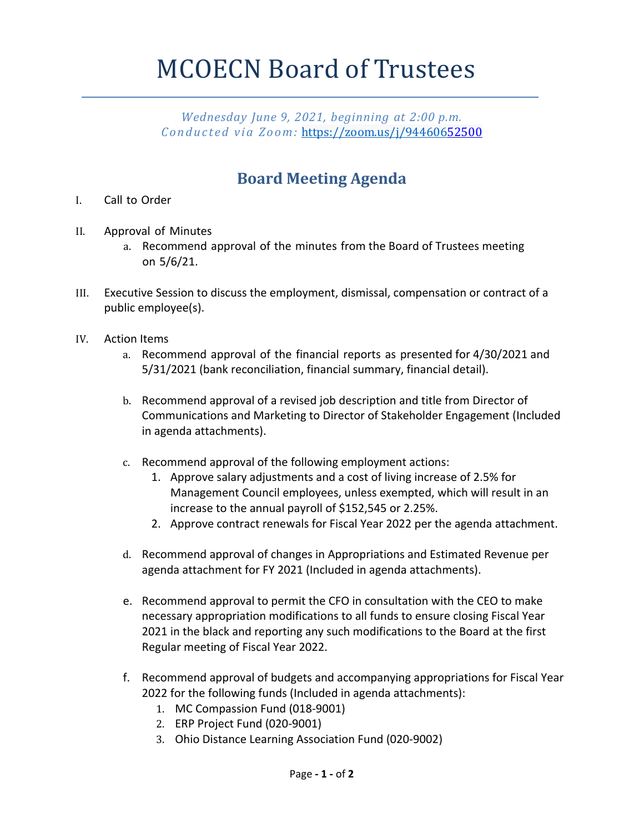## MCOECN Board of Trustees

*Wednesday June 9, 2021, beginning at 2:00 p.m. Conducted via Zoom:* https://zoom.us/j/94460652500

## **Board Meeting Agenda**

- I. Call to Order
- II. Approval of Minutes
	- a. Recommend approval of the minutes from the Board of Trustees meeting on 5/6/21.
- III. Executive Session to discuss the employment, dismissal, compensation or contract of a public employee(s).
- IV. Action Items
	- a. Recommend approval of the financial reports as presented for 4/30/2021 and 5/31/2021 (bank reconciliation, financial summary, financial detail).
	- b. Recommend approval of a revised job description and title from Director of Communications and Marketing to Director of Stakeholder Engagement (Included in agenda attachments).
	- c. Recommend approval of the following employment actions:
		- 1. Approve salary adjustments and a cost of living increase of 2.5% for Management Council employees, unless exempted, which will result in an increase to the annual payroll of \$152,545 or 2.25%.
		- 2. Approve contract renewals for Fiscal Year 2022 per the agenda attachment.
	- d. Recommend approval of changes in Appropriations and Estimated Revenue per agenda attachment for FY 2021 (Included in agenda attachments).
	- e. Recommend approval to permit the CFO in consultation with the CEO to make necessary appropriation modifications to all funds to ensure closing Fiscal Year 2021 in the black and reporting any such modifications to the Board at the first Regular meeting of Fiscal Year 2022.
	- f. Recommend approval of budgets and accompanying appropriations for Fiscal Year 2022 for the following funds (Included in agenda attachments):
		- 1. MC Compassion Fund (018-9001)
		- 2. ERP Project Fund (020-9001)
		- 3. Ohio Distance Learning Association Fund (020-9002)